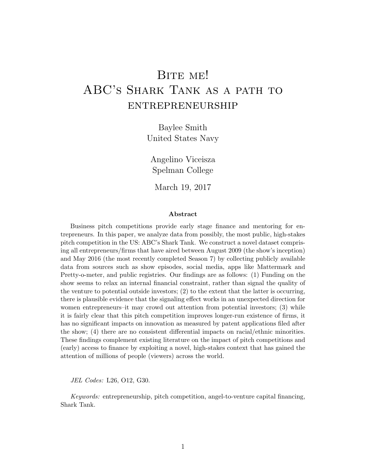# BITE ME! ABC's Shark Tank as a path to entrepreneurship

Baylee Smith United States Navy

Angelino Viceisza Spelman College

March 19, 2017

#### Abstract

Business pitch competitions provide early stage finance and mentoring for entrepreneurs. In this paper, we analyze data from possibly, the most public, high-stakes pitch competition in the US: ABC's Shark Tank. We construct a novel dataset comprising all entrepreneurs/firms that have aired between August 2009 (the show's inception) and May 2016 (the most recently completed Season 7) by collecting publicly available data from sources such as show episodes, social media, apps like Mattermark and Pretty-o-meter, and public registries. Our findings are as follows: (1) Funding on the show seems to relax an internal financial constraint, rather than signal the quality of the venture to potential outside investors; (2) to the extent that the latter is occurring, there is plausible evidence that the signaling effect works in an unexpected direction for women entrepreneurs–it may crowd out attention from potential investors; (3) while it is fairly clear that this pitch competition improves longer-run existence of firms, it has no significant impacts on innovation as measured by patent applications filed after the show; (4) there are no consistent differential impacts on racial/ethnic minorities. These findings complement existing literature on the impact of pitch competitions and (early) access to finance by exploiting a novel, high-stakes context that has gained the attention of millions of people (viewers) across the world.

JEL Codes: L26, O12, G30.

Keywords: entrepreneurship, pitch competition, angel-to-venture capital financing, Shark Tank.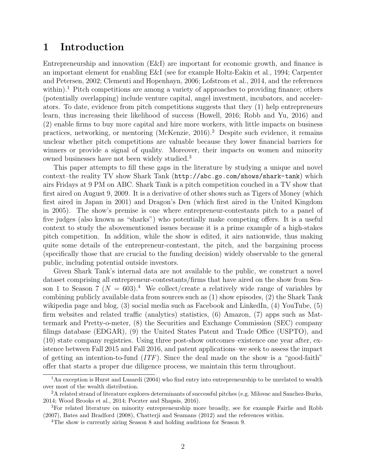## <span id="page-1-4"></span>1 Introduction

Entrepreneurship and innovation (E&I) are important for economic growth, and finance is an important element for enabling E&I (see for example [Holtz-Eakin et al.,](#page-16-0) [1994;](#page-16-0) [Carpenter](#page-15-0) [and Petersen,](#page-15-0) [2002;](#page-15-0) [Clementi and Hopenhayn,](#page-15-1) [2006;](#page-15-1) [Lofstrom et al.,](#page-16-1) [2014,](#page-16-1) and the references within).<sup>[1](#page-1-0)</sup> Pitch competitions are among a variety of approaches to providing finance; others (potentially overlapping) include venture capital, angel investment, incubators, and accelerators. To date, evidence from pitch competitions suggests that they (1) help entrepreneurs learn, thus increasing their likelihood of success [\(Howell,](#page-16-2) [2016;](#page-16-2) [Robb and Yu,](#page-16-3) [2016\)](#page-16-3) and (2) enable firms to buy more capital and hire more workers, with little impacts on business practices, networking, or mentoring [\(McKenzie,](#page-16-4) [2016\)](#page-16-4).[2](#page-1-1) Despite such evidence, it remains unclear whether pitch competitions are valuable because they lower financial barriers for winners or provide a signal of quality. Moreover, their impacts on women and minority owned businesses have not been widely studied.[3](#page-1-2)

This paper attempts to fill these gaps in the literature by studying a unique and novel context–the reality TV show Shark Tank (<http://abc.go.com/shows/shark-tank>) which airs Fridays at 9 PM on ABC. Shark Tank is a pitch competition couched in a TV show that first aired on August 9, 2009. It is a derivative of other shows such as Tigers of Money (which first aired in Japan in 2001) and Dragon's Den (which first aired in the United Kingdom in 2005). The show's premise is one where entrepreneur-contestants pitch to a panel of five judges (also known as "sharks") who potentially make competing offers. It is a useful context to study the abovementioned issues because it is a prime example of a high-stakes pitch competition. In addition, while the show is edited, it airs nationwide, thus making quite some details of the entrepreneur-contestant, the pitch, and the bargaining process (specifically those that are crucial to the funding decision) widely observable to the general public, including potential outside investors.

Given Shark Tank's internal data are not available to the public, we construct a novel dataset comprising all entrepreneur-contestants/firms that have aired on the show from Season 1 to Season 7 ( $N = 603$ ).<sup>[4](#page-1-3)</sup> We collect/create a relatively wide range of variables by combining publicly available data from sources such as (1) show episodes, (2) the Shark Tank wikipedia page and blog, (3) social media such as Facebook and LinkedIn, (4) YouTube, (5) firm websites and related traffic (analytics) statistics, (6) Amazon, (7) apps such as Mattermark and Pretty-o-meter, (8) the Securities and Exchange Commission (SEC) company filings database (EDGAR), (9) the United States Patent and Trade Office (USPTO), and (10) state company registries. Using three post-show outcomes–existence one year after, existence between Fall 2015 and Fall 2016, and patent applications–we seek to assess the impact of getting an intention-to-fund  $(ITF)$ . Since the deal made on the show is a "good-faith" offer that starts a proper due diligence process, we maintain this term throughout.

<span id="page-1-0"></span><sup>&</sup>lt;sup>1</sup>An exception is [Hurst and Lusardi](#page-16-5) [\(2004\)](#page-16-5) who find entry into entrepreneurship to be unrelated to wealth over most of the wealth distribution.

<span id="page-1-1"></span><sup>2</sup>A related strand of literature explores determinants of successful pitches (e.g. [Milovac and Sanchez-Burks,](#page-16-6) [2014;](#page-16-6) [Wood Brooks et al.,](#page-16-7) [2014;](#page-16-7) [Poczter and Shapsis,](#page-16-8) [2016\)](#page-16-8).

<span id="page-1-2"></span><sup>&</sup>lt;sup>3</sup>For related literature on minority entrepreneurship more broadly, see for example [Fairlie and Robb](#page-16-9) [\(2007\)](#page-16-9), [Bates and Bradford](#page-15-2) [\(2008\)](#page-15-2), [Chatterji and Seamans](#page-15-3) [\(2012\)](#page-15-3) and the references within.

<span id="page-1-3"></span><sup>4</sup>The show is currently airing Season 8 and holding auditions for Season 9.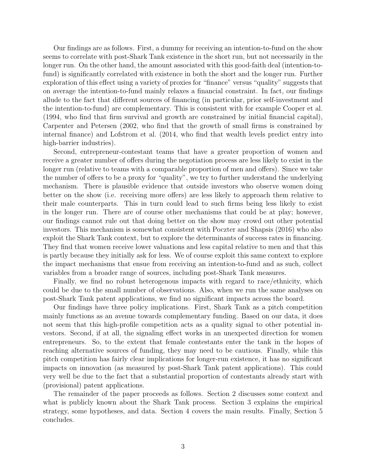Our findings are as follows. First, a dummy for receiving an intention-to-fund on the show seems to correlate with post-Shark Tank existence in the short run, but not necessarily in the longer run. On the other hand, the amount associated with this good-faith deal (intention-tofund) is significantly correlated with existence in both the short and the longer run. Further exploration of this effect using a variety of proxies for "finance" versus "quality" suggests that on average the intention-to-fund mainly relaxes a financial constraint. In fact, our findings allude to the fact that different sources of financing (in particular, prior self-investment and the intention-to-fund) are complementary. This is consistent with for example [Cooper et al.](#page-15-4) [\(1994,](#page-15-4) who find that firm survival and growth are constrained by initial financial capital), [Carpenter and Petersen](#page-15-0) [\(2002,](#page-15-0) who find that the growth of small firms is constrained by internal finance) and [Lofstrom et al.](#page-16-1) [\(2014,](#page-16-1) who find that wealth levels predict entry into high-barrier industries).

Second, entrepreneur-contestant teams that have a greater proportion of women and receive a greater number of offers during the negotiation process are less likely to exist in the longer run (relative to teams with a comparable proportion of men and offers). Since we take the number of offers to be a proxy for "quality", we try to further understand the underlying mechanism. There is plausible evidence that outside investors who observe women doing better on the show (i.e. receiving more offers) are less likely to approach them relative to their male counterparts. This in turn could lead to such firms being less likely to exist in the longer run. There are of course other mechanisms that could be at play; however, our findings cannot rule out that doing better on the show may crowd out other potential investors. This mechanism is somewhat consistent with [Poczter and Shapsis](#page-16-8) [\(2016\)](#page-16-8) who also exploit the Shark Tank context, but to explore the determinants of success rates in financing. They find that women receive lower valuations and less capital relative to men and that this is partly because they initially ask for less. We of course exploit this same context to explore the impact mechanisms that ensue from receiving an intention-to-fund and as such, collect variables from a broader range of sources, including post-Shark Tank measures.

Finally, we find no robust heterogenous impacts with regard to race/ethnicity, which could be due to the small number of observations. Also, when we run the same analyses on post-Shark Tank patent applications, we find no significant impacts across the board.

Our findings have three policy implications. First, Shark Tank as a pitch competition mainly functions as an avenue towards complementary funding. Based on our data, it does not seem that this high-profile competition acts as a quality signal to other potential investors. Second, if at all, the signaling effect works in an unexpected direction for women entrepreneurs. So, to the extent that female contestants enter the tank in the hopes of reaching alternative sources of funding, they may need to be cautious. Finally, while this pitch competition has fairly clear implications for longer-run existence, it has no significant impacts on innovation (as measured by post-Shark Tank patent applications). This could very well be due to the fact that a substantial proportion of contestants already start with (provisional) patent applications.

The remainder of the paper proceeds as follows. Section [2](#page-3-0) discusses some context and what is publicly known about the Shark Tank process. Section [3](#page-5-0) explains the empirical strategy, some hypotheses, and data. Section [4](#page-9-0) covers the main results. Finally, Section [5](#page-14-0) concludes.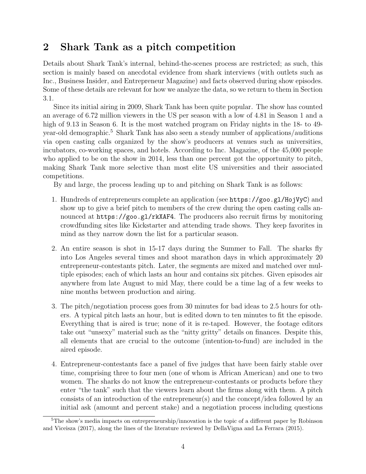## <span id="page-3-0"></span>2 Shark Tank as a pitch competition

Details about Shark Tank's internal, behind-the-scenes process are restricted; as such, this section is mainly based on anecdotal evidence from shark interviews (with outlets such as Inc., [Business Insider,](http://www.businessinsider.com) and [Entrepreneur Magazine\)](https://www.entrepreneur.com/magazine) and facts observed during show episodes. Some of these details are relevant for how we analyze the data, so we return to them in Section [3.1.](#page-5-1)

Since its initial airing in 2009, Shark Tank has been quite popular. The show has counted an average of 6.72 million viewers in the US per season with a low of 4.81 in Season 1 and a high of 9.13 in Season 6. It is the most watched program on Friday nights in the 18- to 49 year-old demographic.[5](#page-3-1) Shark Tank has also seen a steady number of applications/auditions via open casting calls organized by the show's producers at venues such as universities, incubators, co-working spaces, and hotels. According to [Inc. Magazine,](http://www.inc.com) of the 45,000 people who applied to be on the show in 2014, less than one percent got the opportunity to pitch, making Shark Tank more selective than most elite US universities and their associated competitions.

By and large, the process leading up to and pitching on Shark Tank is as follows:

- 1. Hundreds of entrepreneurs complete an application (see <https://goo.gl/HojVyC>) and show up to give a brief pitch to members of the crew during the open casting calls announced at <https://goo.gl/rkXAF4>. The producers also recruit firms by monitoring crowdfunding sites like Kickstarter and attending trade shows. They keep favorites in mind as they narrow down the list for a particular season.
- 2. An entire season is shot in 15-17 days during the Summer to Fall. The sharks fly into Los Angeles several times and shoot marathon days in which approximately 20 entrepreneur-contestants pitch. Later, the segments are mixed and matched over multiple episodes; each of which lasts an hour and contains six pitches. Given episodes air anywhere from late August to mid May, there could be a time lag of a few weeks to nine months between production and airing.
- 3. The pitch/negotiation process goes from 30 minutes for bad ideas to 2.5 hours for others. A typical pitch lasts an hour, but is edited down to ten minutes to fit the episode. Everything that is aired is true; none of it is re-taped. However, the footage editors take out "unsexy" material such as the "nitty gritty" details on finances. Despite this, all elements that are crucial to the outcome (intention-to-fund) are included in the aired episode.
- 4. Entrepreneur-contestants face a panel of five judges that have been fairly stable over time, comprising three to four men (one of whom is African American) and one to two women. The sharks do not know the entrepreneur-contestants or products before they enter "the tank" such that the viewers learn about the firms along with them. A pitch consists of an introduction of the entrepreneur(s) and the concept/idea followed by an initial ask (amount and percent stake) and a negotiation process including questions

<span id="page-3-1"></span><sup>&</sup>lt;sup>5</sup>The show's media impacts on entrepreneurship/innovation is the topic of a different paper by [Robinson](#page-16-10) [and Viceisza](#page-16-10) [\(2017\)](#page-16-10), along the lines of the literature reviewed by [DellaVigna and La Ferrara](#page-15-5) [\(2015\)](#page-15-5).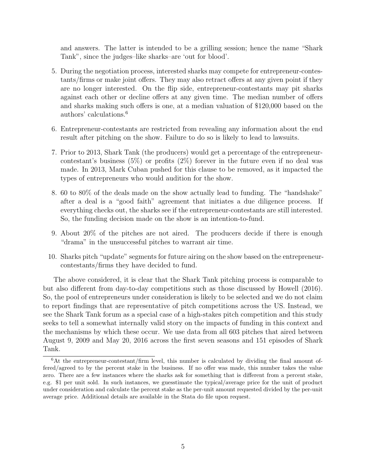and answers. The latter is intended to be a grilling session; hence the name "Shark Tank", since the judges–like sharks–are 'out for blood'.

- 5. During the negotiation process, interested sharks may compete for entrepreneur-contestants/firms or make joint offers. They may also retract offers at any given point if they are no longer interested. On the flip side, entrepreneur-contestants may pit sharks against each other or decline offers at any given time. The median number of offers and sharks making such offers is one, at a median valuation of \$120,000 based on the authors' calculations.[6](#page-4-0)
- 6. Entrepreneur-contestants are restricted from revealing any information about the end result after pitching on the show. Failure to do so is likely to lead to lawsuits.
- 7. Prior to 2013, Shark Tank (the producers) would get a percentage of the entrepreneurcontestant's business  $(5\%)$  or profits  $(2\%)$  forever in the future even if no deal was made. In 2013, Mark Cuban pushed for this clause to be removed, as it impacted the types of entrepreneurs who would audition for the show.
- 8. 60 to 80% of the deals made on the show actually lead to funding. The "handshake" after a deal is a "good faith" agreement that initiates a due diligence process. If everything checks out, the sharks see if the entrepreneur-contestants are still interested. So, the funding decision made on the show is an intention-to-fund.
- 9. About 20% of the pitches are not aired. The producers decide if there is enough "drama" in the unsuccessful pitches to warrant air time.
- 10. Sharks pitch "update" segments for future airing on the show based on the entrepreneurcontestants/firms they have decided to fund.

The above considered, it is clear that the Shark Tank pitching process is comparable to but also different from day-to-day competitions such as those discussed by [Howell](#page-16-2) [\(2016\)](#page-16-2). So, the pool of entrepreneurs under consideration is likely to be selected and we do not claim to report findings that are representative of pitch competitions across the US. Instead, we see the Shark Tank forum as a special case of a high-stakes pitch competition and this study seeks to tell a somewhat internally valid story on the impacts of funding in this context and the mechanisms by which these occur. We use data from all 603 pitches that aired between August 9, 2009 and May 20, 2016 across the first seven seasons and 151 episodes of Shark Tank.

<span id="page-4-0"></span> $6$ At the entrepreneur-contestant/firm level, this number is calculated by dividing the final amount offered/agreed to by the percent stake in the business. If no offer was made, this number takes the value zero. There are a few instances where the sharks ask for something that is different from a percent stake, e.g. \$1 per unit sold. In such instances, we guesstimate the typical/average price for the unit of product under consideration and calculate the percent stake as the per-unit amount requested divided by the per-unit average price. Additional details are available in the Stata do file upon request.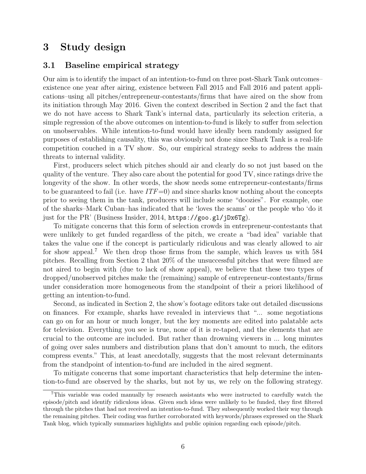## <span id="page-5-0"></span>3 Study design

#### <span id="page-5-1"></span>3.1 Baseline empirical strategy

Our aim is to identify the impact of an intention-to-fund on three post-Shark Tank outcomes– existence one year after airing, existence between Fall 2015 and Fall 2016 and patent applications–using all pitches/entrepreneur-contestants/firms that have aired on the show from its initiation through May 2016. Given the context described in Section [2](#page-3-0) and the fact that we do not have access to Shark Tank's internal data, particularly its selection criteria, a simple regression of the above outcomes on intention-to-fund is likely to suffer from selection on unobservables. While intention-to-fund would have ideally been randomly assigned for purposes of establishing causality, this was obviously not done since Shark Tank is a real-life competition couched in a TV show. So, our empirical strategy seeks to address the main threats to internal validity.

First, producers select which pitches should air and clearly do so not just based on the quality of the venture. They also care about the potential for good TV, since ratings drive the longevity of the show. In other words, the show needs some entrepreneur-contestants/firms to be guaranteed to fail (i.e. have  $ITF=0$ ) and since sharks know nothing about the concepts prior to seeing them in the tank, producers will include some "doozies". For example, one of the sharks–Mark Cuban–has indicated that he 'loves the scams' or the people who 'do it just for the PR' (Business Insider, 2014, <https://goo.gl/jDx6Tg>).

To mitigate concerns that this form of selection crowds in entrepreneur-contestants that were unlikely to get funded regardless of the pitch, we create a "bad idea" variable that takes the value one if the concept is particularly ridiculous and was clearly allowed to air for show appeal.<sup>[7](#page-5-2)</sup> We then drop those firms from the sample, which leaves us with  $584$ pitches. Recalling from Section [2](#page-3-0) that 20% of the unsuccessful pitches that were filmed are not aired to begin with (due to lack of show appeal), we believe that these two types of dropped/unobserved pitches make the (remaining) sample of entrepreneur-contestants/firms under consideration more homogeneous from the standpoint of their a priori likelihood of getting an intention-to-fund.

Second, as indicated in Section [2,](#page-3-0) the show's footage editors take out detailed discussions on finances. For example, sharks have revealed in interviews that "... some negotiations can go on for an hour or much longer, but the key moments are edited into palatable acts for television. Everything you see is true, none of it is re-taped, and the elements that are crucial to the outcome are included. But rather than drowning viewers in ... long minutes of going over sales numbers and distribution plans that don't amount to much, the editors compress events." This, at least anecdotally, suggests that the most relevant determinants from the standpoint of intention-to-fund are included in the aired segment.

To mitigate concerns that some important characteristics that help determine the intention-to-fund are observed by the sharks, but not by us, we rely on the following strategy.

<span id="page-5-2"></span><sup>7</sup>This variable was coded manually by research assistants who were instructed to carefully watch the episode/pitch and identify ridiculous ideas. Given such ideas were unlikely to be funded, they first filtered through the pitches that had not received an intention-to-fund. They subsequently worked their way through the remaining pitches. Their coding was further corroborated with keywords/phrases expressed on the Shark Tank blog, which typically summarizes highlights and public opinion regarding each episode/pitch.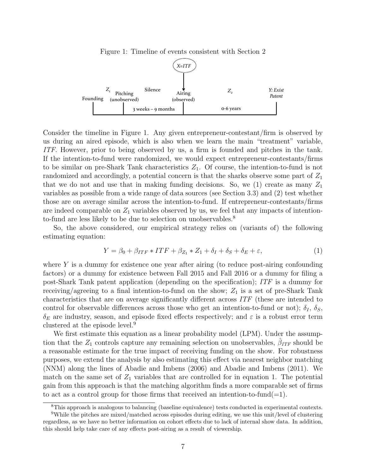<span id="page-6-0"></span>

Consider the timeline in Figure [1.](#page-6-0) Any given entrepreneur-contestant/firm is observed by us during an aired episode, which is also when we learn the main "treatment" variable, ITF. However, prior to being observed by us, a firm is founded and pitches in the tank. If the intention-to-fund were randomized, we would expect entrepreneur-contestants/firms to be similar on pre-Shark Tank characteristics  $Z_1$ . Of course, the intention-to-fund is not randomized and accordingly, a potential concern is that the sharks observe some part of  $Z_1$ that we do not and use that in making funding decisions. So, we (1) create as many  $Z_1$ variables as possible from a wide range of data sources (see Section [3.3\)](#page-7-0) and (2) test whether those are on average similar across the intention-to-fund. If entrepreneur-contestants/firms are indeed comparable on  $Z_1$  variables observed by us, we feel that any impacts of intention-to-fund are less likely to be due to selection on unobservables.<sup>[8](#page-6-1)</sup>

So, the above considered, our empirical strategy relies on (variants of) the following estimating equation:

<span id="page-6-3"></span>
$$
Y = \beta_0 + \beta_{ITF} * ITF + \beta_{Z_1} * Z_1 + \delta_I + \delta_S + \delta_E + \varepsilon,
$$
\n(1)

where  $Y$  is a dummy for existence one year after airing (to reduce post-airing confounding factors) or a dummy for existence between Fall 2015 and Fall 2016 or a dummy for filing a post-Shark Tank patent application (depending on the specification); ITF is a dummy for receiving/agreeing to a final intention-to-fund on the show;  $Z_1$  is a set of pre-Shark Tank characteristics that are on average significantly different across ITF (these are intended to control for observable differences across those who get an intention-to-fund or not);  $\delta_I$ ,  $\delta_S$ ,  $\delta_E$  are industry, season, and episode fixed effects respectively; and  $\varepsilon$  is a robust error term clustered at the episode level.[9](#page-6-2)

We first estimate this equation as a linear probability model (LPM). Under the assumption that the  $Z_1$  controls capture any remaining selection on unobservables,  $\hat{\beta}_{ITF}$  should be a reasonable estimate for the true impact of receiving funding on the show. For robustness purposes, we extend the analysis by also estimating this effect via nearest neighbor matching (NNM) along the lines of [Abadie and Imbens](#page-15-6) [\(2006\)](#page-15-6) and [Abadie and Imbens](#page-15-7) [\(2011\)](#page-15-7). We match on the same set of  $Z_1$  variables that are controlled for in equation [1.](#page-6-3) The potential gain from this approach is that the matching algorithm finds a more comparable set of firms to act as a control group for those firms that received an intention-to-fund $(=1)$ .

<span id="page-6-2"></span><span id="page-6-1"></span><sup>8</sup>This approach is analogous to balancing (baseline equivalence) tests conducted in experimental contexts.

<sup>9</sup>While the pitches are mixed/matched across episodes during editing, we use this unit/level of clustering regardless, as we have no better information on cohort effects due to lack of internal show data. In addition, this should help take care of any effects post-airing as a result of viewership.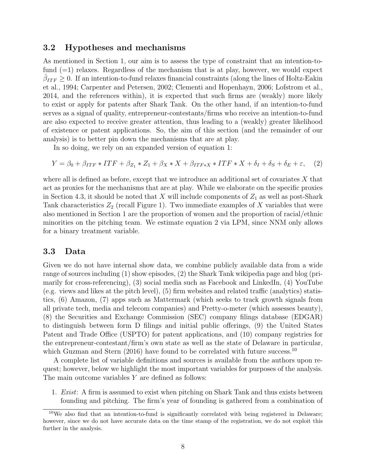#### 3.2 Hypotheses and mechanisms

As mentioned in Section [1,](#page-1-4) our aim is to assess the type of constraint that an intention-tofund  $(=1)$  relaxes. Regardless of the mechanism that is at play, however, we would expect  $\hat{\beta}_{ITF} \geq 0$ . If an intention-to-fund relaxes financial constraints (along the lines of [Holtz-Eakin](#page-16-0) [et al.,](#page-16-0) [1994;](#page-16-0) [Carpenter and Petersen,](#page-15-0) [2002;](#page-15-0) [Clementi and Hopenhayn,](#page-15-1) [2006;](#page-15-1) [Lofstrom et al.,](#page-16-1) [2014,](#page-16-1) and the references within), it is expected that such firms are (weakly) more likely to exist or apply for patents after Shark Tank. On the other hand, if an intention-to-fund serves as a signal of quality, entrepreneur-contestants/firms who receive an intention-to-fund are also expected to receive greater attention, thus leading to a (weakly) greater likelihood of existence or patent applications. So, the aim of this section (and the remainder of our analysis) is to better pin down the mechanisms that are at play.

In so doing, we rely on an expanded version of equation [1:](#page-6-3)

<span id="page-7-1"></span>
$$
Y = \beta_0 + \beta_{ITF} * ITF + \beta_{Z_1} * Z_1 + \beta_X * X + \beta_{ITF*X} * ITF * X + \delta_I + \delta_S + \delta_E + \varepsilon,
$$
 (2)

where all is defined as before, except that we introduce an additional set of covariates X that act as proxies for the mechanisms that are at play. While we elaborate on the specific proxies in Section [4.3,](#page-11-0) it should be noted that X will include components of  $Z_1$  as well as post-Shark Tank characteristics  $Z_2$  (recall Figure [1\)](#page-6-0). Two immediate examples of X variables that were also mentioned in Section [1](#page-1-4) are the proportion of women and the proportion of racial/ethnic minorities on the pitching team. We estimate equation [2](#page-7-1) via LPM, since NNM only allows for a binary treatment variable.

#### <span id="page-7-0"></span>3.3 Data

Given we do not have internal show data, we combine publicly available data from a wide range of sources including (1) show episodes, (2) the Shark Tank wikipedia page and blog (primarily for cross-referencing), (3) social media such as Facebook and LinkedIn, (4) YouTube (e.g. views and likes at the pitch level), (5) firm websites and related traffic (analytics) statistics, (6) Amazon, (7) apps such as Mattermark (which seeks to track growth signals from all private tech, media and telecom companies) and Pretty-o-meter (which assesses beauty), (8) the Securities and Exchange Commission (SEC) company filings database (EDGAR) to distinguish between form D filings and initial public offerings, (9) the United States Patent and Trade Office (USPTO) for patent applications, and (10) company registries for the entrepreneur-contestant/firm's own state as well as the state of Delaware in particular, which [Guzman and Stern](#page-16-11)  $(2016)$  have found to be correlated with future success.<sup>[10](#page-7-2)</sup>

A complete list of variable definitions and sources is available from the authors upon request; however, below we highlight the most important variables for purposes of the analysis. The main outcome variables Y are defined as follows:

1. Exist: A firm is assumed to exist when pitching on Shark Tank and thus exists between founding and pitching. The firm's year of founding is gathered from a combination of

<span id="page-7-2"></span> $10$ We also find that an intention-to-fund is significantly correlated with being registered in Delaware; however, since we do not have accurate data on the time stamp of the registration, we do not exploit this further in the analysis.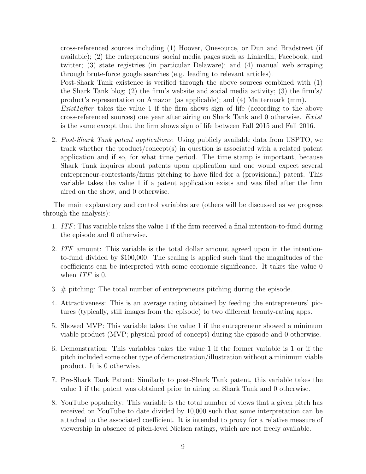cross-referenced sources including (1) Hoover, Onesource, or Dun and Bradstreet (if available); (2) the entrepreneurs' social media pages such as LinkedIn, Facebook, and twitter; (3) state registries (in particular Delaware); and (4) manual web scraping through brute-force google searches (e.g. leading to relevant articles).

Post-Shark Tank existence is verified through the above sources combined with (1) the Shark Tank blog; (2) the firm's website and social media activity; (3) the firm's/ product's representation on Amazon (as applicable); and (4) Mattermark (mm).

Exist1after takes the value 1 if the firm shows sign of life (according to the above cross-referenced sources) one year after airing on Shark Tank and 0 otherwise. Exist is the same except that the firm shows sign of life between Fall 2015 and Fall 2016.

2. Post-Shark Tank patent applications: Using publicly available data from USPTO, we track whether the product/concept(s) in question is associated with a related patent application and if so, for what time period. The time stamp is important, because Shark Tank inquires about patents upon application and one would expect several entrepreneur-contestants/firms pitching to have filed for a (provisional) patent. This variable takes the value 1 if a patent application exists and was filed after the firm aired on the show, and 0 otherwise.

The main explanatory and control variables are (others will be discussed as we progress through the analysis):

- 1. ITF: This variable takes the value 1 if the firm received a final intention-to-fund during the episode and 0 otherwise.
- 2. ITF amount: This variable is the total dollar amount agreed upon in the intentionto-fund divided by \$100,000. The scaling is applied such that the magnitudes of the coefficients can be interpreted with some economic significance. It takes the value 0 when *ITF* is 0.
- 3. # pitching: The total number of entrepreneurs pitching during the episode.
- 4. Attractiveness: This is an average rating obtained by feeding the entrepreneurs' pictures (typically, still images from the episode) to two different beauty-rating apps.
- 5. Showed MVP: This variable takes the value 1 if the entrepreneur showed a minimum viable product (MVP; physical proof of concept) during the episode and 0 otherwise.
- 6. Demonstration: This variables takes the value 1 if the former variable is 1 or if the pitch included some other type of demonstration/illustration without a minimum viable product. It is 0 otherwise.
- 7. Pre-Shark Tank Patent: Similarly to post-Shark Tank patent, this variable takes the value 1 if the patent was obtained prior to airing on Shark Tank and 0 otherwise.
- 8. YouTube popularity: This variable is the total number of views that a given pitch has received on YouTube to date divided by 10,000 such that some interpretation can be attached to the associated coefficient. It is intended to proxy for a relative measure of viewership in absence of pitch-level Nielsen ratings, which are not freely available.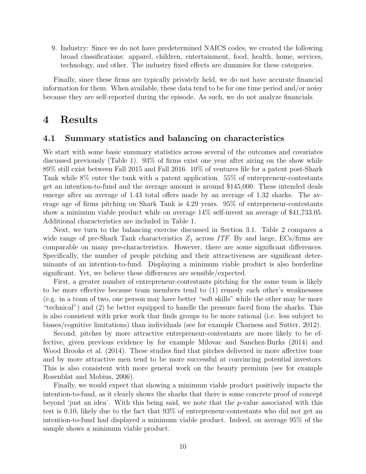9. Industry: Since we do not have predetermined NAICS codes, we created the following broad classifications: apparel, children, entertainment, food, health, home, services, technology, and other. The industry fixed effects are dummies for these categories.

Finally, since these firms are typically privately held, we do not have accurate financial information for them. When available, these data tend to be for one time period and/or noisy because they are self-reported during the episode. As such, we do not analyze financials.

### <span id="page-9-0"></span>4 Results

#### <span id="page-9-1"></span>4.1 Summary statistics and balancing on characteristics

We start with some basic summary statistics across several of the outcomes and covariates discussed previously (Table [1\)](#page-17-0). 93% of firms exist one year after airing on the show while 89% still exist between Fall 2015 and Fall 2016. 10% of ventures file for a patent post-Shark Tank while 8% enter the tank with a patent application. 55% of entrepreneur-contestants get an intention-to-fund and the average amount is around \$145,000. These intended deals emerge after an average of 1.43 total offers made by an average of 1.32 sharks. The average age of firms pitching on Shark Tank is 4.29 years. 95% of entrepreneur-contestants show a minimum viable product while on average 14% self-invest an average of \$41,733.05. Additional characteristics are included in Table [1.](#page-17-0)

Next, we turn to the balancing exercise discussed in Section [3.1.](#page-5-1) Table [2](#page-18-0) compares a wide range of pre-Shark Tank characteristics  $Z_1$  across ITF. By and large, ECs/firms are comparable on many pre-characteristics. However, there are some significant differences. Specifically, the number of people pitching and their attractiveness are significant determinants of an intention-to-fund. Displaying a minimum viable product is also borderline significant. Yet, we believe these differences are sensible/expected.

First, a greater number of entrepreneur-contestants pitching for the same team is likely to be more effective because team members tend to (1) remedy each other's weaknessses (e.g. in a team of two, one person may have better "soft skills" while the other may be more "technical") and (2) be better equipped to handle the pressure faced from the sharks. This is also consistent with prior work that finds groups to be more rational (i.e. less subject to biases/cognitive limitations) than individuals (see for example [Charness and Sutter,](#page-15-8) [2012\)](#page-15-8).

Second, pitches by more attractive entrepreneur-contestants are more likely to be effective, given previous evidence by for example [Milovac and Sanchez-Burks](#page-16-6) [\(2014\)](#page-16-6) and [Wood Brooks et al.](#page-16-7) [\(2014\)](#page-16-7). These studies find that pitches delivered in more affective tone and by more attractive men tend to be more successful at convincing potential investors. This is also consistent with more general work on the beauty premium (see for example [Rosenblat and Mobius,](#page-16-12) [2006\)](#page-16-12).

Finally, we would expect that showing a minimum viable product positively impacts the intention-to-fund, as it clearly shows the sharks that there is some concrete proof of concept beyond 'just an idea'. With this being said, we note that the  $p$ -value associated with this test is 0.10, likely due to the fact that 93% of entrepreneur-contestants who did not get an intention-to-fund had displayed a minimum viable product. Indeed, on average 95% of the sample shows a minimum viable product.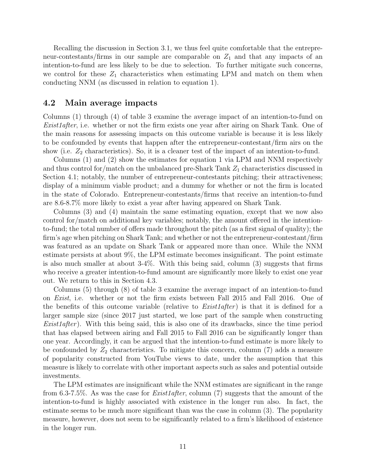Recalling the discussion in Section [3.1,](#page-5-1) we thus feel quite comfortable that the entrepreneur-contestants/firms in our sample are comparable on  $Z_1$  and that any impacts of an intention-to-fund are less likely to be due to selection. To further mitigate such concerns, we control for these  $Z_1$  characteristics when estimating LPM and match on them when conducting NNM (as discussed in relation to equation [1\)](#page-6-3).

#### 4.2 Main average impacts

Columns (1) through (4) of table [3](#page-19-0) examine the average impact of an intention-to-fund on Exist1after, i.e. whether or not the firm exists one year after airing on Shark Tank. One of the main reasons for assessing impacts on this outcome variable is because it is less likely to be confounded by events that happen after the entrepreneur-contestant/firm airs on the show (i.e.  $Z_2$  characteristics). So, it is a cleaner test of the impact of an intention-to-fund.

Columns (1) and (2) show the estimates for equation [1](#page-6-3) via LPM and NNM respectively and thus control for/match on the unbalanced pre-Shark Tank  $Z_1$  characteristics discussed in Section [4.1;](#page-9-1) notably, the number of entrepreneur-contestants pitching; their attractiveness; display of a minimum viable product; and a dummy for whether or not the firm is located in the state of Colorado. Entrepreneur-contestants/firms that receive an intention-to-fund are 8.6-8.7% more likely to exist a year after having appeared on Shark Tank.

Columns (3) and (4) maintain the same estimating equation, except that we now also control for/match on additional key variables; notably, the amount offered in the intentionto-fund; the total number of offers made throughout the pitch (as a first signal of quality); the firm's age when pitching on Shark Tank; and whether or not the entrepreneur-contestant/firm was featured as an update on Shark Tank or appeared more than once. While the NNM estimate persists at about 9%, the LPM estimate becomes insignificant. The point estimate is also much smaller at about 3-4%. With this being said, column (3) suggests that firms who receive a greater intention-to-fund amount are significantly more likely to exist one year out. We return to this in Section [4.3.](#page-11-0)

Columns (5) through (8) of table [3](#page-19-0) examine the average impact of an intention-to-fund on Exist, i.e. whether or not the firm exists between Fall 2015 and Fall 2016. One of the benefits of this outcome variable (relative to  $Existafter$ ) is that it is defined for a larger sample size (since 2017 just started, we lose part of the sample when constructing  $Existlafter$ ). With this being said, this is also one of its drawbacks, since the time period that has elapsed between airing and Fall 2015 to Fall 2016 can be significantly longer than one year. Accordingly, it can be argued that the intention-to-fund estimate is more likely to be confounded by  $Z_2$  characteristics. To mitigate this concern, column (7) adds a measure of popularity constructed from YouTube views to date, under the assumption that this measure is likely to correlate with other important aspects such as sales and potential outside investments.

The LPM estimates are insignificant while the NNM estimates are significant in the range from 6.3-7.5%. As was the case for *Exist1after*, column  $(7)$  suggests that the amount of the intention-to-fund is highly associated with existence in the longer run also. In fact, the estimate seems to be much more significant than was the case in column (3). The popularity measure, however, does not seem to be significantly related to a firm's likelihood of existence in the longer run.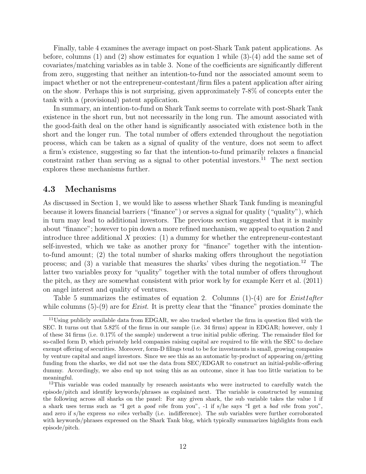Finally, table [4](#page-20-0) examines the average impact on post-Shark Tank patent applications. As before, columns  $(1)$  $(1)$  $(1)$  and  $(2)$  show estimates for equation 1 while  $(3)-(4)$  add the same set of covariates/matching variables as in table [3.](#page-19-0) None of the coefficients are significantly different from zero, suggesting that neither an intention-to-fund nor the associated amount seem to impact whether or not the entrepreneur-contestant/firm files a patent application after airing on the show. Perhaps this is not surprising, given approximately 7-8% of concepts enter the tank with a (provisional) patent application.

In summary, an intention-to-fund on Shark Tank seems to correlate with post-Shark Tank existence in the short run, but not necessarily in the long run. The amount associated with the good-faith deal on the other hand is significantly associated with existence both in the short and the longer run. The total number of offers extended throughout the negotiation process, which can be taken as a signal of quality of the venture, does not seem to affect a firm's existence, suggesting so far that the intention-to-fund primarily relaxes a financial constraint rather than serving as a signal to other potential investors.<sup>[11](#page-11-1)</sup> The next section explores these mechanisms further.

#### <span id="page-11-0"></span>4.3 Mechanisms

As discussed in Section [1,](#page-1-4) we would like to assess whether Shark Tank funding is meaningful because it lowers financial barriers ("finance") or serves a signal for quality ("quality"), which in turn may lead to additional investors. The previous section suggested that it is mainly about "finance"; however to pin down a more refined mechanism, we appeal to equation [2](#page-7-1) and introduce three additional  $X$  proxies: (1) a dummy for whether the entrepreneur-contestant self-invested, which we take as another proxy for "finance" together with the intentionto-fund amount; (2) the total number of sharks making offers throughout the negotiation process; and  $(3)$  a variable that measures the sharks' vibes during the negotiation.<sup>[12](#page-11-2)</sup> The latter two variables proxy for "quality" together with the total number of offers throughout the pitch, as they are somewhat consistent with prior work by for example [Kerr et al.](#page-16-13) [\(2011\)](#page-16-13) on angel interest and quality of ventures.

Table [5](#page-21-0) summarizes the estimates of equation [2.](#page-7-1) Columns  $(1)-(4)$  are for *Exist1after* while columns (5)-(9) are for *Exist*. It is pretty clear that the "finance" proxies dominate the

<span id="page-11-1"></span><sup>&</sup>lt;sup>11</sup>Using publicly available data from EDGAR, we also tracked whether the firm in question filed with the SEC. It turns out that 5.82% of the firms in our sample (i.e. 34 firms) appear in EDGAR; however, only 1 of these 34 firms (i.e. 0.17% of the sample) underwent a true initial public offering. The remainder filed for so-called form D, which privately held companies raising capital are required to file with the SEC to declare exempt offering of securities. Moreover, form-D filings tend to be for investments in small, growing companies by venture capital and angel investors. Since we see this as an automatic by-product of appearing on/getting funding from the sharks, we did not use the data from SEC/EDGAR to construct an initial-public-offering dummy. Accordingly, we also end up not using this as an outcome, since it has too little variation to be meaningful.

<span id="page-11-2"></span> $12$ This variable was coded manually by research assistants who were instructed to carefully watch the episode/pitch and identify keywords/phrases as explained next. The variable is constructed by summing the following across all sharks on the panel: For any given shark, the sub variable takes the value 1 if a shark uses terms such as "I get a good vibe from you", -1 if s/he says "I get a bad vibe from you", and zero if s/he express no vibes verbally (i.e. indifference). The sub variables were further corroborated with keywords/phrases expressed on the Shark Tank blog, which typically summarizes highlights from each episode/pitch.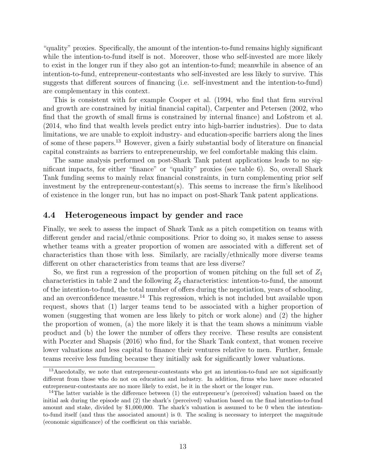"quality" proxies. Specifically, the amount of the intention-to-fund remains highly significant while the intention-to-fund itself is not. Moreover, those who self-invested are more likely to exist in the longer run if they also got an intention-to-fund; meanwhile in absence of an intention-to-fund, entrepreneur-contestants who self-invested are less likely to survive. This suggests that different sources of financing (i.e. self-investment and the intention-to-fund) are complementary in this context.

This is consistent with for example [Cooper et al.](#page-15-4) [\(1994,](#page-15-4) who find that firm survival and growth are constrained by initial financial capital), [Carpenter and Petersen](#page-15-0) [\(2002,](#page-15-0) who find that the growth of small firms is constrained by internal finance) and [Lofstrom et al.](#page-16-1) [\(2014,](#page-16-1) who find that wealth levels predict entry into high-barrier industries). Due to data limitations, we are unable to exploit industry- and education-specific barriers along the lines of some of these papers.[13](#page-12-0) However, given a fairly substantial body of literature on financial capital constraints as barriers to entrepreneurship, we feel comfortable making this claim.

The same analysis performed on post-Shark Tank patent applications leads to no significant impacts, for either "finance" or "quality" proxies (see table [6\)](#page-22-0). So, overall Shark Tank funding seems to mainly relax financial constraints, in turn complementing prior self investment by the entrepreneur-contestant(s). This seems to increase the firm's likelihood of existence in the longer run, but has no impact on post-Shark Tank patent applications.

#### 4.4 Heterogeneous impact by gender and race

Finally, we seek to assess the impact of Shark Tank as a pitch competition on teams with different gender and racial/ethnic compositions. Prior to doing so, it makes sense to assess whether teams with a greater proportion of women are associated with a different set of characteristics than those with less. Similarly, are racially/ethnically more diverse teams different on other characteristics from teams that are less diverse?

So, we first run a regression of the proportion of women pitching on the full set of  $Z_1$ characteristics in table [2](#page-18-0) and the following  $Z_2$  characteristics: intention-to-fund, the amount of the intention-to-fund, the total number of offers during the negotiation, years of schooling, and an overconfidence measure.<sup>[14](#page-12-1)</sup> This regression, which is not included but available upon request, shows that (1) larger teams tend to be associated with a higher proportion of women (suggesting that women are less likely to pitch or work alone) and (2) the higher the proportion of women, (a) the more likely it is that the team shows a minimum viable product and (b) the lower the number of offers they receive. These results are consistent with [Poczter and Shapsis](#page-16-8) [\(2016\)](#page-16-8) who find, for the Shark Tank context, that women receive lower valuations and less capital to finance their ventures relative to men. Further, female teams receive less funding because they initially ask for significantly lower valuations.

<span id="page-12-0"></span><sup>&</sup>lt;sup>13</sup>Anecdotally, we note that entrepreneur-contestants who get an intention-to-fund are not significantly different from those who do not on education and industry. In addition, firms who have more educated entrepreneur-contestants are no more likely to exist, be it in the short or the longer run.

<span id="page-12-1"></span><sup>&</sup>lt;sup>14</sup>The latter variable is the difference between  $(1)$  the entrepreneur's (perceived) valuation based on the initial ask during the episode and (2) the shark's (perceived) valuation based on the final intention-to-fund amount and stake, divided by \$1,000,000. The shark's valuation is assumed to be 0 when the intentionto-fund itself (and thus the associated amount) is 0. The scaling is necessary to interpret the magnitude (economic significance) of the coefficient on this variable.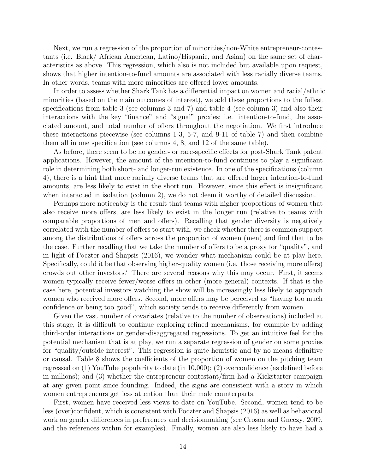Next, we run a regression of the proportion of minorities/non-White entrepreneur-contestants (i.e. Black/ African American, Latino/Hispanic, and Asian) on the same set of characteristics as above. This regression, which also is not included but available upon request, shows that higher intention-to-fund amounts are associated with less racially diverse teams. In other words, teams with more minorities are offered lower amounts.

In order to assess whether Shark Tank has a differential impact on women and racial/ethnic minorities (based on the main outcomes of interest), we add these proportions to the fullest specifications from table [3](#page-19-0) (see columns 3 and 7) and table [4](#page-20-0) (see column 3) and also their interactions with the key "finance" and "signal" proxies; i.e. intention-to-fund, the associated amount, and total number of offers throughout the negotiation. We first introduce these interactions piecewise (see columns 1-3, 5-7, and 9-11 of table [7\)](#page-23-0) and then combine them all in one specification (see columns 4, 8, and 12 of the same table).

As before, there seem to be no gender- or race-specific effects for post-Shark Tank patent applications. However, the amount of the intention-to-fund continues to play a significant role in determining both short- and longer-run existence. In one of the specifications (column 4), there is a hint that more racially diverse teams that are offered larger intention-to-fund amounts, are less likely to exist in the short run. However, since this effect is insignificant when interacted in isolation (column 2), we do not deem it worthy of detailed discussion.

Perhaps more noticeably is the result that teams with higher proportions of women that also receive more offers, are less likely to exist in the longer run (relative to teams with comparable proportions of men and offers). Recalling that gender diversity is negatively correlated with the number of offers to start with, we check whether there is common support among the distributions of offers across the proportion of women (men) and find that to be the case. Further recalling that we take the number of offers to be a proxy for "quality", and in light of [Poczter and Shapsis](#page-16-8) [\(2016\)](#page-16-8), we wonder what mechanism could be at play here. Specifically, could it be that observing higher-quality women (i.e. those receiving more offers) crowds out other investors? There are several reasons why this may occur. First, it seems women typically receive fewer/worse offers in other (more general) contexts. If that is the case here, potential investors watching the show will be increasingly less likely to approach women who received more offers. Second, more offers may be perceived as "having too much confidence or being too good", which society tends to receive differently from women.

Given the vast number of covariates (relative to the number of observations) included at this stage, it is difficult to continue exploring refined mechanisms, for example by adding third-order interactions or gender-disaggregated regressions. To get an intuitive feel for the potential mechanism that is at play, we run a separate regression of gender on some proxies for "quality/outside interest". This regression is quite heuristic and by no means definitive or causal. Table [8](#page-24-0) shows the coefficients of the proportion of women on the pitching team regressed on (1) YouTube popularity to date (in 10,000); (2) overconfidence (as defined before in millions); and (3) whether the entrepreneur-contestant/firm had a Kickstarter campaign at any given point since founding. Indeed, the signs are consistent with a story in which women entrepreneurs get less attention than their male counterparts.

First, women have received less views to date on YouTube. Second, women tend to be less (over)confident, which is consistent with [Poczter and Shapsis](#page-16-8) [\(2016\)](#page-16-8) as well as behavioral work on gender differences in preferences and decisionmaking (see [Croson and Gneezy,](#page-15-9) [2009,](#page-15-9) and the references within for examples). Finally, women are also less likely to have had a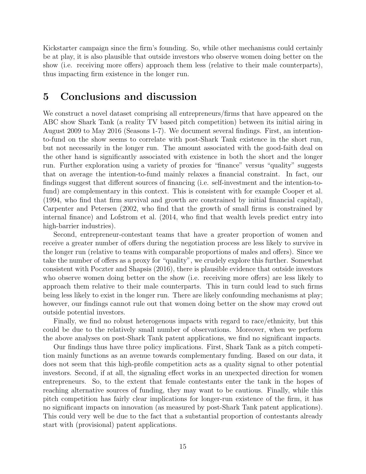Kickstarter campaign since the firm's founding. So, while other mechanisms could certainly be at play, it is also plausible that outside investors who observe women doing better on the show (i.e. receiving more offers) approach them less (relative to their male counterparts), thus impacting firm existence in the longer run.

## <span id="page-14-0"></span>5 Conclusions and discussion

We construct a novel dataset comprising all entrepreneurs/firms that have appeared on the ABC show Shark Tank (a reality TV based pitch competition) between its initial airing in August 2009 to May 2016 (Seasons 1-7). We document several findings. First, an intentionto-fund on the show seems to correlate with post-Shark Tank existence in the short run, but not necessarily in the longer run. The amount associated with the good-faith deal on the other hand is significantly associated with existence in both the short and the longer run. Further exploration using a variety of proxies for "finance" versus "quality" suggests that on average the intention-to-fund mainly relaxes a financial constraint. In fact, our findings suggest that different sources of financing (i.e. self-investment and the intention-to-fund) are complementary in this context. This is consistent with for example [Cooper et al.](#page-15-4) [\(1994,](#page-15-4) who find that firm survival and growth are constrained by initial financial capital), [Carpenter and Petersen](#page-15-0) [\(2002,](#page-15-0) who find that the growth of small firms is constrained by internal finance) and [Lofstrom et al.](#page-16-1) [\(2014,](#page-16-1) who find that wealth levels predict entry into high-barrier industries).

Second, entrepreneur-contestant teams that have a greater proportion of women and receive a greater number of offers during the negotiation process are less likely to survive in the longer run (relative to teams with comparable proportions of males and offers). Since we take the number of offers as a proxy for "quality", we crudely explore this further. Somewhat consistent with [Poczter and Shapsis](#page-16-8) [\(2016\)](#page-16-8), there is plausible evidence that outside investors who observe women doing better on the show (i.e. receiving more offers) are less likely to approach them relative to their male counterparts. This in turn could lead to such firms being less likely to exist in the longer run. There are likely confounding mechanisms at play; however, our findings cannot rule out that women doing better on the show may crowd out outside potential investors.

Finally, we find no robust heterogenous impacts with regard to race/ethnicity, but this could be due to the relatively small number of observations. Moreover, when we perform the above analyses on post-Shark Tank patent applications, we find no significant impacts.

Our findings thus have three policy implications. First, Shark Tank as a pitch competition mainly functions as an avenue towards complementary funding. Based on our data, it does not seem that this high-profile competition acts as a quality signal to other potential investors. Second, if at all, the signaling effect works in an unexpected direction for women entrepreneurs. So, to the extent that female contestants enter the tank in the hopes of reaching alternative sources of funding, they may want to be cautious. Finally, while this pitch competition has fairly clear implications for longer-run existence of the firm, it has no significant impacts on innovation (as measured by post-Shark Tank patent applications). This could very well be due to the fact that a substantial proportion of contestants already start with (provisional) patent applications.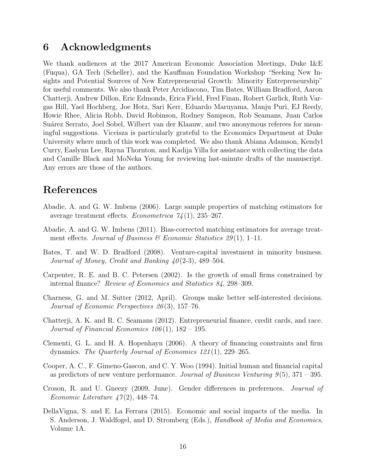## 6 Acknowledgments

We thank audiences at the 2017 American Economic Association Meetings, Duke I&E (Fuqua), GA Tech (Scheller), and the Kauffman Foundation Workshop "Seeking New Insights and Potential Sources of New Entrepreneurial Growth: Minority Entrepreneurship" for useful comments. We also thank Peter Arcidiacono, Tim Bates, William Bradford, Aaron Chatterji, Andrew Dillon, Eric Edmonds, Erica Field, Fred Finan, Robert Garlick, Ruth Vargas Hill, Yael Hochberg, Joe Hotz, Sari Kerr, Eduardo Maruyama, Manju Puri, EJ Reedy, Howie Rhee, Alicia Robb, David Robinson, Rodney Sampson, Rob Seamans, Juan Carlos Suárez Serrato, Joel Sobel, Wilbert van der Klaauw, and two anonymous referees for meaningful suggestions. Viceisza is particularly grateful to the Economics Department at Duke University where much of this work was completed. We also thank Abiana Adamson, Kendyl Curry, Easlynn Lee, Rayna Thornton, and Kadija Yilla for assistance with collecting the data and Camille Black and MoNeka Young for reviewing last-minute drafts of the manuscript. Any errors are those of the authors.

## References

- <span id="page-15-6"></span>Abadie, A. and G. W. Imbens (2006). Large sample properties of matching estimators for average treatment effects. *Econometrica*  $\frac{\gamma_4}{1}$ , 235–267.
- <span id="page-15-7"></span>Abadie, A. and G. W. Imbens (2011). Bias-corrected matching estimators for average treatment effects. Journal of Business & Economic Statistics 29(1), 1–11.
- <span id="page-15-2"></span>Bates, T. and W. D. Bradford (2008). Venture-capital investment in minority business. Journal of Money, Credit and Banking  $40(2-3)$ , 489–504.
- <span id="page-15-0"></span>Carpenter, R. E. and B. C. Petersen (2002). Is the growth of small firms constrained by internal finance? Review of Economics and Statistics 84, 298–309.
- <span id="page-15-8"></span>Charness, G. and M. Sutter (2012, April). Groups make better self-interested decisions. Journal of Economic Perspectives 26 (3), 157–76.
- <span id="page-15-3"></span>Chatterji, A. K. and R. C. Seamans (2012). Entrepreneurial finance, credit cards, and race. Journal of Financial Economics  $106(1)$ ,  $182-195$ .
- <span id="page-15-1"></span>Clementi, G. L. and H. A. Hopenhayn (2006). A theory of financing constraints and firm dynamics. The Quarterly Journal of Economics 121 (1), 229–265.
- <span id="page-15-4"></span>Cooper, A. C., F. Gimeno-Gascon, and C. Y. Woo (1994). Initial human and financial capital as predictors of new venture performance. Journal of Business Venturing  $9(5)$ ,  $371 - 395$ .
- <span id="page-15-9"></span>Croson, R. and U. Gneezy (2009, June). Gender differences in preferences. Journal of Economic Literature  $47(2)$ , 448–74.
- <span id="page-15-5"></span>DellaVigna, S. and E. La Ferrara (2015). Economic and social impacts of the media. In S. Anderson, J. Waldfogel, and D. Stromberg (Eds.), Handbook of Media and Economics, Volume 1A.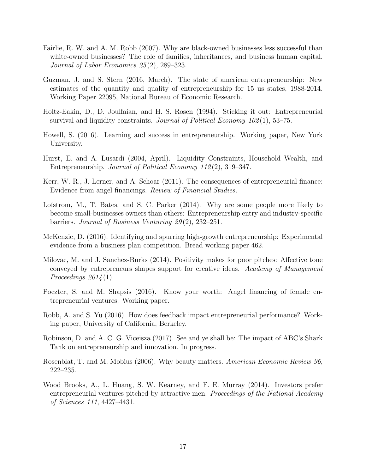- <span id="page-16-9"></span>Fairlie, R. W. and A. M. Robb (2007). Why are black-owned businesses less successful than white-owned businesses? The role of families, inheritances, and business human capital. Journal of Labor Economics 25 (2), 289–323.
- <span id="page-16-11"></span>Guzman, J. and S. Stern (2016, March). The state of american entrepreneurship: New estimates of the quantity and quality of entrepreneurship for 15 us states, 1988-2014. Working Paper 22095, National Bureau of Economic Research.
- <span id="page-16-0"></span>Holtz-Eakin, D., D. Joulfaian, and H. S. Rosen (1994). Sticking it out: Entrepreneurial survival and liquidity constraints. Journal of Political Economy  $102(1)$ , 53–75.
- <span id="page-16-2"></span>Howell, S. (2016). Learning and success in entrepreneurship. Working paper, New York University.
- <span id="page-16-5"></span>Hurst, E. and A. Lusardi (2004, April). Liquidity Constraints, Household Wealth, and Entrepreneurship. Journal of Political Economy 112 (2), 319–347.
- <span id="page-16-13"></span>Kerr, W. R., J. Lerner, and A. Schoar (2011). The consequences of entrepreneurial finance: Evidence from angel financings. Review of Financial Studies.
- <span id="page-16-1"></span>Lofstrom, M., T. Bates, and S. C. Parker (2014). Why are some people more likely to become small-businesses owners than others: Entrepreneurship entry and industry-specific barriers. Journal of Business Venturing  $29(2)$ ,  $232-251$ .
- <span id="page-16-4"></span>McKenzie, D. (2016). Identifying and spurring high-growth entrepreneurship: Experimental evidence from a business plan competition. Bread working paper 462.
- <span id="page-16-6"></span>Milovac, M. and J. Sanchez-Burks (2014). Positivity makes for poor pitches: Affective tone conveyed by entrepreneurs shapes support for creative ideas. Academy of Management Proceedings  $2014(1)$ .
- <span id="page-16-8"></span>Poczter, S. and M. Shapsis (2016). Know your worth: Angel financing of female entrepreneurial ventures. Working paper.
- <span id="page-16-3"></span>Robb, A. and S. Yu (2016). How does feedback impact entrepreneurial performance? Working paper, University of California, Berkeley.
- <span id="page-16-10"></span>Robinson, D. and A. C. G. Viceisza (2017). See and ye shall be: The impact of ABC's Shark Tank on entrepreneurship and innovation. In progress.
- <span id="page-16-12"></span>Rosenblat, T. and M. Mobius (2006). Why beauty matters. American Economic Review 96, 222–235.
- <span id="page-16-7"></span>Wood Brooks, A., L. Huang, S. W. Kearney, and F. E. Murray (2014). Investors prefer entrepreneurial ventures pitched by attractive men. Proceedings of the National Academy of Sciences 111, 4427–4431.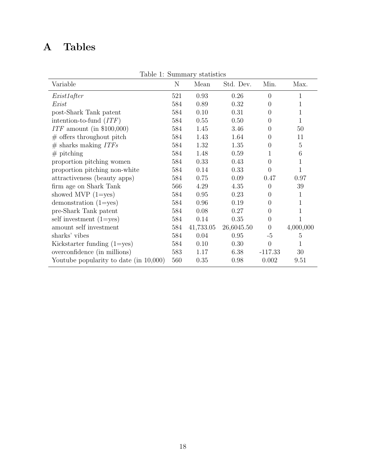## A Tables

|                                        |     | rable 1. Duminary statistics |            |                  |                |
|----------------------------------------|-----|------------------------------|------------|------------------|----------------|
| Variable                               | N   | Mean                         | Std. Dev.  | Min.             | Max.           |
| <i>Exist1after</i>                     | 521 | 0.93                         | 0.26       | $\overline{0}$   | 1              |
| Exist                                  | 584 | 0.89                         | 0.32       | $\overline{0}$   | 1              |
| post-Shark Tank patent                 | 584 | 0.10                         | 0.31       | $\theta$         | $\mathbf{1}$   |
| intention-to-fund $(ITF)$              | 584 | 0.55                         | 0.50       | $\theta$         | $\mathbf{1}$   |
| $ITF$ amount (in \$100,000)            | 584 | 1.45                         | 3.46       | $\theta$         | 50             |
| $#$ offers throughout pitch            | 584 | 1.43                         | 1.64       | $\overline{0}$   | 11             |
| $#$ sharks making <i>ITFs</i>          | 584 | 1.32                         | 1.35       | $\theta$         | $\overline{5}$ |
| $#$ pitching                           | 584 | 1.48                         | 0.59       | 1                | 6              |
| proportion pitching women              | 584 | 0.33                         | 0.43       | $\theta$         | $\mathbf{1}$   |
| proportion pitching non-white          | 584 | 0.14                         | 0.33       | $\theta$         | $\mathbf{1}$   |
| attractiveness (beauty apps)           | 584 | 0.75                         | 0.09       | 0.47             | 0.97           |
| firm age on Shark Tank                 | 566 | 4.29                         | 4.35       | $\overline{0}$   | 39             |
| showed MVP $(1=yes)$                   | 584 | 0.95                         | 0.23       | $\theta$         | 1              |
| demonstration $(1 = yes)$              | 584 | 0.96                         | 0.19       | $\theta$         | 1              |
| pre-Shark Tank patent                  | 584 | 0.08                         | 0.27       | $\overline{0}$   | $\mathbf 1$    |
| self investment $(1 = yes)$            | 584 | 0.14                         | 0.35       | $\overline{0}$   | 1              |
| amount self investment                 | 584 | 41,733.05                    | 26,6045.50 | $\boldsymbol{0}$ | 4,000,000      |
| sharks' vibes                          | 584 | 0.04                         | 0.95       | -5               | 5              |
| Kickstarter funding $(1 = yes)$        | 584 | 0.10                         | 0.30       | $\boldsymbol{0}$ | 1              |
| overconfidence (in millions)           | 583 | 1.17                         | 6.38       | $-117.33$        | 30             |
| Youtube popularity to date (in 10,000) | 560 | 0.35                         | 0.98       | 0.002            | 9.51           |

<span id="page-17-0"></span>Table 1: Summary statistics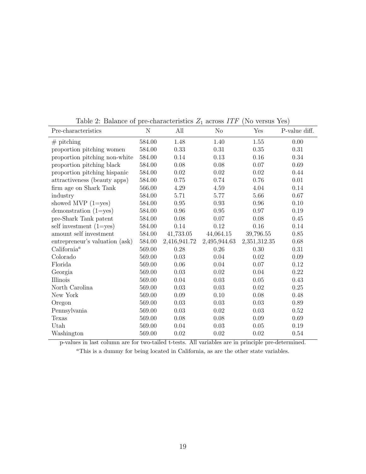| Pre-characteristics            | $\mathbb N$ | All          | No           | Yes          | P-value diff. |
|--------------------------------|-------------|--------------|--------------|--------------|---------------|
| $#$ pitching                   | 584.00      | 1.48         | 1.40         | 1.55         | 0.00          |
| proportion pitching women      | 584.00      | 0.33         | 0.31         | 0.35         | 0.31          |
| proportion pitching non-white  | 584.00      | 0.14         | 0.13         | 0.16         | 0.34          |
| proportion pitching black      | 584.00      | 0.08         | 0.08         | 0.07         | 0.69          |
| proportion pitching hispanic   | 584.00      | 0.02         | 0.02         | 0.02         | 0.44          |
| attractiveness (beauty apps)   | 584.00      | 0.75         | 0.74         | 0.76         | $0.01\,$      |
| firm age on Shark Tank         | 566.00      | 4.29         | 4.59         | 4.04         | 0.14          |
| industry                       | 584.00      | 5.71         | 5.77         | 5.66         | 0.67          |
| showed MVP $(1 = yes)$         | 584.00      | $0.95\,$     | 0.93         | 0.96         | 0.10          |
| demonstration $(1 = yes)$      | 584.00      | 0.96         | 0.95         | 0.97         | 0.19          |
| pre-Shark Tank patent          | 584.00      | 0.08         | 0.07         | 0.08         | 0.45          |
| self investment $(1 = yes)$    | 584.00      | 0.14         | 0.12         | 0.16         | 0.14          |
| amount self investment         | 584.00      | 41,733.05    | 44,064.15    | 39,796.55    | 0.85          |
| entrepreneur's valuation (ask) | 584.00      | 2,416,941.72 | 2,495,944.63 | 2,351,312.35 | 0.68          |
| California <sup>a</sup>        | 569.00      | 0.28         | 0.26         | 0.30         | 0.31          |
| Colorado                       | 569.00      | 0.03         | 0.04         | 0.02         | 0.09          |
| Florida                        | 569.00      | 0.06         | $0.04\,$     | 0.07         | 0.12          |
| Georgia                        | 569.00      | 0.03         | 0.02         | 0.04         | 0.22          |
| Illinois                       | 569.00      | $0.04\,$     | $0.03\,$     | 0.05         | 0.43          |
| North Carolina                 | 569.00      | 0.03         | 0.03         | 0.02         | 0.25          |
| New York                       | 569.00      | 0.09         | 0.10         | 0.08         | 0.48          |
| Oregon                         | 569.00      | 0.03         | 0.03         | 0.03         | 0.89          |
| Pennsylvania                   | 569.00      | 0.03         | 0.02         | 0.03         | 0.52          |
| Texas                          | 569.00      | 0.08         | 0.08         | 0.09         | 0.69          |
| Utah                           | 569.00      | 0.04         | $0.03\,$     | 0.05         | 0.19          |
| Washington                     | 569.00      | $0.02\,$     | 0.02         | 0.02         | 0.54          |

<span id="page-18-0"></span>Table 2: Balance of pre-characteristics  $Z_1$  across  $ITF$  (No versus Yes)

p-values in last column are for two-tailed t-tests. All variables are in principle pre-determined.

 $\rm ^aThis$  is a dummy for being located in California, as are the other state variables.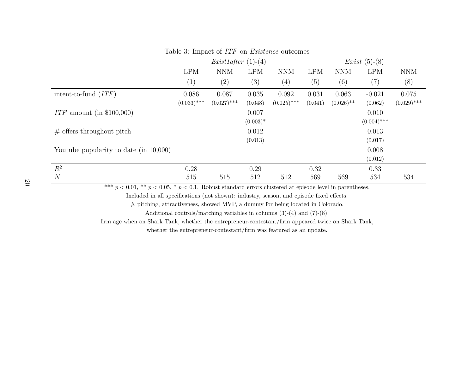<span id="page-19-0"></span>

| Table 3: Impact of ITF on <i>Existence</i> outcomes<br><i>Exist</i> (5)-(8)                                      |               |                       |            |                   |            |              |               |               |
|------------------------------------------------------------------------------------------------------------------|---------------|-----------------------|------------|-------------------|------------|--------------|---------------|---------------|
|                                                                                                                  |               | Exist1after $(1)-(4)$ |            |                   |            |              |               |               |
|                                                                                                                  | <b>LPM</b>    | <b>NNM</b>            | <b>LPM</b> | <b>NNM</b>        | <b>LPM</b> | <b>NNM</b>   | <b>LPM</b>    | <b>NNM</b>    |
|                                                                                                                  | (1)           | (2)                   | (3)        | $\left( 4\right)$ | (5)        | (6)          | (7)           | (8)           |
| intent-to-fund $(ITF)$                                                                                           | 0.086         | 0.087                 | 0.035      | 0.092             | 0.031      | 0.063        | $-0.021$      | 0.075         |
|                                                                                                                  | $(0.033)$ *** | $(0.027)$ ***         | (0.048)    | $(0.025)$ ***     | (0.041)    | $(0.026)$ ** | (0.062)       | $(0.029)$ *** |
| $ITF$ amount (in \$100,000)                                                                                      |               |                       | 0.007      |                   |            |              | 0.010         |               |
|                                                                                                                  |               |                       | $(0.003)*$ |                   |            |              | $(0.004)$ *** |               |
| $\#$ offers throughout pitch                                                                                     |               |                       | 0.012      |                   |            |              | 0.013         |               |
|                                                                                                                  |               |                       | (0.013)    |                   |            |              | (0.017)       |               |
| Youtube popularity to date (in $10,000$ )                                                                        |               |                       |            |                   |            |              | 0.008         |               |
|                                                                                                                  |               |                       |            |                   |            |              | (0.012)       |               |
| $R^2$                                                                                                            | 0.28          |                       | 0.29       |                   | 0.32       |              | 0.33          |               |
| N                                                                                                                | 515           | 515                   | 512        | 512               | 569        | 569          | 534           | 534           |
| *** $p < 0.01$ , ** $p < 0.05$ , * $p < 0.1$ . Robust standard errors clustered at episode level in parentheses. |               |                       |            |                   |            |              |               |               |

Included in all specifications (not shown): industry, season, and episode fixed effects,

# <sup>p</sup>itching, attractiveness, showed MVP, <sup>a</sup> dummy for being located in Colorado.

Additional controls/matching variables in columns (3)-(4) and (7)-(8):

firm age when on Shark Tank, whether the entrepreneur-contestant/firm appeared twice on Shark Tank,

whether the entrepreneur-contestant/firm was featured as an update.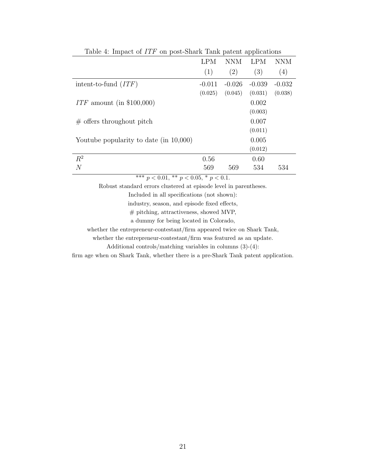|                                        | <b>LPM</b>          | <b>NNM</b> | <b>LPM</b> | <b>NNM</b> |
|----------------------------------------|---------------------|------------|------------|------------|
|                                        | (1)                 | (2)        | (3)        | (4)        |
| intent-to-fund $(ITF)$                 | $-0.011$            | $-0.026$   | $-0.039$   | $-0.032$   |
|                                        | (0.025)             | (0.045)    | (0.031)    | (0.038)    |
| $ITF$ amount (in \$100,000)            |                     |            | 0.002      |            |
|                                        |                     |            | (0.003)    |            |
| $#$ offers throughout pitch            |                     |            | 0.007      |            |
|                                        |                     |            | (0.011)    |            |
| Youtube popularity to date (in 10,000) |                     |            | 0.005      |            |
|                                        |                     |            | (0.012)    |            |
| $R^2$                                  | 0.56                |            | 0.60       |            |
| $\overline{N}$                         | 569                 | 569        | 534        | 534        |
| $***$<br>$2001$ **                     | $\sim$ 0.05 $*$ 0.1 |            |            |            |

<span id="page-20-0"></span>Table 4: Impact of ITF on post-Shark Tank patent applications

\*\*\*  $p < 0.01$ , \*\*  $p < 0.05$ , \*  $p < 0.1$ .

Robust standard errors clustered at episode level in parentheses.

Included in all specifications (not shown):

industry, season, and episode fixed effects,

# pitching, attractiveness, showed MVP,

a dummy for being located in Colorado,

whether the entrepreneur-contestant/firm appeared twice on Shark Tank,

whether the entrepreneur-contestant/firm was featured as an update.

Additional controls/matching variables in columns (3)-(4):

firm age when on Shark Tank, whether there is a pre-Shark Tank patent application.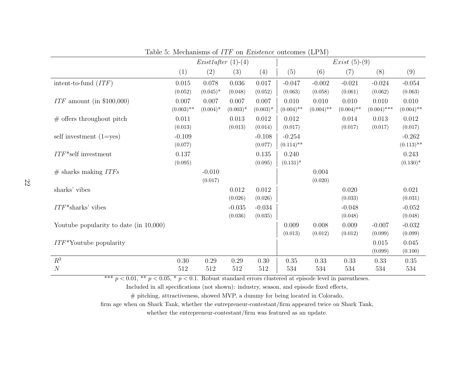|                                                                                                                  |              | Existlafter $(1)-(4)$ |            |            | <i>Exist</i> $(5)-(9)$ |              |              |               |              |  |
|------------------------------------------------------------------------------------------------------------------|--------------|-----------------------|------------|------------|------------------------|--------------|--------------|---------------|--------------|--|
|                                                                                                                  | (1)          | (2)                   | (3)        | (4)        | (5)                    | (6)          | (7)          | (8)           | (9)          |  |
| intent-to-fund $(TTF)$                                                                                           | 0.015        | 0.078                 | 0.036      | 0.017      | $-0.047$               | $-0.002$     | $-0.021$     | $-0.024$      | $-0.054$     |  |
|                                                                                                                  | (0.052)      | $(0.045)^*$           | (0.048)    | (0.052)    | (0.063)                | (0.058)      | (0.061)      | (0.062)       | (0.063)      |  |
| $ITF$ amount (in \$100,000)                                                                                      | 0.007        | 0.007                 | 0.007      | 0.007      | 0.010                  | 0.010        | 0.010        | 0.010         | 0.010        |  |
|                                                                                                                  | $(0.003)$ ** | $(0.004)^*$           | $(0.003)*$ | $(0.003)*$ | $(0.004)$ **           | $(0.004)$ ** | $(0.004)$ ** | $(0.004)$ *** | $(0.004)$ ** |  |
| $#$ offers throughout pitch                                                                                      | 0.011        |                       | 0.013      | 0.012      | 0.012                  |              | 0.014        | 0.013         | 0.012        |  |
|                                                                                                                  | (0.013)      |                       | (0.013)    | (0.014)    | (0.017)                |              | (0.017)      | (0.017)       | (0.017)      |  |
| self investment $(1 = yes)$                                                                                      | $-0.109$     |                       |            | $-0.108$   | $-0.254$               |              |              |               | $-0.262$     |  |
|                                                                                                                  | (0.077)      |                       |            | (0.077)    | $(0.114)$ **           |              |              |               | $(0.113)$ ** |  |
| $ITF*$ self investment                                                                                           | 0.137        |                       |            | 0.135      | 0.240                  |              |              |               | 0.243        |  |
|                                                                                                                  | (0.095)      |                       |            | (0.095)    | $(0.131)^*$            |              |              |               | $(0.130)^*$  |  |
| $#$ sharks making <i>ITFs</i>                                                                                    |              | $-0.010$              |            |            |                        | 0.004        |              |               |              |  |
|                                                                                                                  |              | (0.017)               |            |            |                        | (0.020)      |              |               |              |  |
| sharks' vibes                                                                                                    |              |                       | 0.012      | 0.012      |                        |              | 0.020        |               | 0.021        |  |
|                                                                                                                  |              |                       | (0.026)    | (0.026)    |                        |              | (0.033)      |               | (0.031)      |  |
| $ITF^*sharks'$ vibes                                                                                             |              |                       | $-0.035$   | $-0.034$   |                        |              | $-0.048$     |               | $-0.052$     |  |
|                                                                                                                  |              |                       | (0.036)    | (0.035)    |                        |              | (0.048)      |               | (0.048)      |  |
| Youtube popularity to date (in $10,000$ )                                                                        |              |                       |            |            | 0.009                  | 0.008        | 0.009        | $-0.007$      | $-0.032$     |  |
|                                                                                                                  |              |                       |            |            | (0.013)                | (0.012)      | (0.012)      | (0.099)       | (0.099)      |  |
| $ITF^*$ Youtube popularity                                                                                       |              |                       |            |            |                        |              |              | 0.015         | 0.045        |  |
|                                                                                                                  |              |                       |            |            |                        |              |              | (0.099)       | (0.100)      |  |
| $\mathbb{R}^2$                                                                                                   | 0.30         | $0.29\,$              | $0.29\,$   | $0.30\,$   | $0.35\,$               | 0.33         | 0.33         | 0.33          | 0.35         |  |
| $\cal N$                                                                                                         | 512          | 512                   | 512        | 512        | 534                    | 534          | 534          | 534           | 534          |  |
| *** $p < 0.01$ , ** $p < 0.05$ , * $p < 0.1$ . Robust standard errors clustered at episode level in parentheses. |              |                       |            |            |                        |              |              |               |              |  |

<span id="page-21-0"></span>Table 5: Mechanisms of *ITF* on *Existence* outcomes (LPM)

Included in all specifications (not shown): industry, season, and episode fixed effects,

# <sup>p</sup>itching, attractiveness, showed MVP, <sup>a</sup> dummy for being located in Colorado,

firm age when on Shark Tank, whether the entrepreneur-contestant/firm appeared twice on Shark Tank,

whether the entrepreneur-contestant/firm was featured as an update.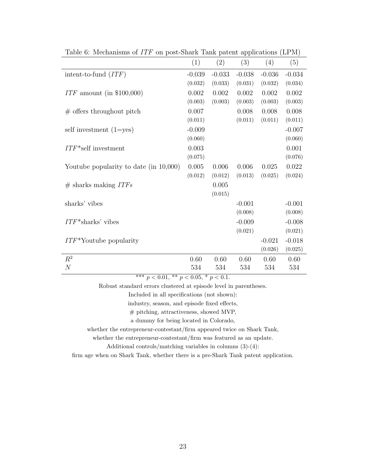|                                        | (1)      | (2)      | (3)      | (4)      | (5)      |
|----------------------------------------|----------|----------|----------|----------|----------|
| intent-to-fund $(TTF)$                 | $-0.039$ | $-0.033$ | $-0.038$ | $-0.036$ | $-0.034$ |
|                                        | (0.032)  | (0.033)  | (0.031)  | (0.032)  | (0.034)  |
| $ITF$ amount (in \$100,000)            | 0.002    | 0.002    | 0.002    | 0.002    | 0.002    |
|                                        | (0.003)  | (0.003)  | (0.003)  | (0.003)  | (0.003)  |
| $#$ offers throughout pitch            | 0.007    |          | 0.008    | 0.008    | 0.008    |
|                                        | (0.011)  |          | (0.011)  | (0.011)  | (0.011)  |
| self investment $(1 = yes)$            | $-0.009$ |          |          |          | $-0.007$ |
|                                        | (0.060)  |          |          |          | (0.060)  |
| $ITF^*$ self investment                | 0.003    |          |          |          | 0.001    |
|                                        | (0.075)  |          |          |          | (0.076)  |
| Youtube popularity to date (in 10,000) | 0.005    | 0.006    | 0.006    | 0.025    | 0.022    |
|                                        | (0.012)  | (0.012)  | (0.013)  | (0.025)  | (0.024)  |
| $#$ sharks making ITFs                 |          | 0.005    |          |          |          |
|                                        |          | (0.015)  |          |          |          |
| sharks' vibes                          |          |          | $-0.001$ |          | $-0.001$ |
|                                        |          |          | (0.008)  |          | (0.008)  |
| $ITF^*$ sharks' vibes                  |          |          | $-0.009$ |          | $-0.008$ |
|                                        |          |          | (0.021)  |          | (0.021)  |
| $ITF^*$ Youtube popularity             |          |          |          | $-0.021$ | $-0.018$ |
|                                        |          |          |          | (0.026)  | (0.025)  |
| $R^2$                                  | 0.60     | 0.60     | 0.60     | 0.60     | 0.60     |
| $\overline{N}$                         | 534      | 534      | 534      | 534      | 534      |

<span id="page-22-0"></span>Table 6: Mechanisms of ITF on post-Shark Tank patent applications (LPM)

\*\*\*  $p < 0.01$ , \*\*  $p < 0.05$ , \*  $p < 0.1$ .

Robust standard errors clustered at episode level in parentheses.

Included in all specifications (not shown):

industry, season, and episode fixed effects,

# pitching, attractiveness, showed MVP,

a dummy for being located in Colorado,

whether the entrepreneur-contestant/firm appeared twice on Shark Tank,

whether the entrepreneur-contestant/firm was featured as an update.

Additional controls/matching variables in columns (3)-(4):

firm age when on Shark Tank, whether there is a pre-Shark Tank patent application.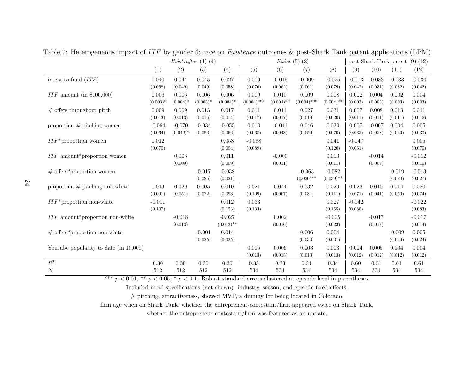|                                                                                                                  |             |             | Exist1after $(1)-(4)$ |              | <i>Exist</i> (5)-(8) |              |               |              | post-Shark Tank patent $(9)-(12)$ |          |          |          |
|------------------------------------------------------------------------------------------------------------------|-------------|-------------|-----------------------|--------------|----------------------|--------------|---------------|--------------|-----------------------------------|----------|----------|----------|
|                                                                                                                  | (1)         | (2)         | (3)                   | (4)          | (5)                  | (6)          | (7)           | (8)          | (9)                               | (10)     | (11)     | (12)     |
| intent-to-fund $(ITF)$                                                                                           | 0.040       | 0.044       | 0.045                 | 0.027        | 0.009                | $-0.015$     | $-0.009$      | $-0.025$     | $-0.013$                          | $-0.033$ | $-0.033$ | $-0.030$ |
|                                                                                                                  | (0.058)     | (0.049)     | (0.049)               | (0.058)      | (0.076)              | (0.062)      | (0.061)       | (0.079)      | (0.042)                           | (0.031)  | (0.032)  | (0.042)  |
| $ITF$ amount (in \$100,000)                                                                                      | 0.006       | 0.006       | 0.006                 | 0.006        | 0.009                | 0.010        | 0.009         | 0.008        | 0.002                             | 0.004    | 0.002    | 0.004    |
|                                                                                                                  | $(0.003)^*$ | $(0.004)^*$ | $(0.003)*$            | $(0.004)^*$  | $(0.004)$ ***        | $(0.004)$ ** | $(0.004)$ *** | $(0.004)$ ** | (0.003)                           | (0.003)  | (0.003)  | (0.003)  |
| $#$ offers throughout pitch                                                                                      | 0.009       | 0.009       | 0.013                 | 0.017        | 0.011                | 0.011        | 0.027         | 0.031        | 0.007                             | 0.008    | 0.013    | 0.011    |
|                                                                                                                  | (0.013)     | (0.013)     | (0.015)               | (0.014)      | (0.017)              | (0.017)      | (0.019)       | (0.020)      | (0.011)                           | (0.011)  | (0.011)  | (0.012)  |
| proportion $#$ pitching women                                                                                    | $-0.064$    | $-0.070$    | $-0.034$              | $-0.055$     | 0.010                | $-0.041$     | 0.046         | 0.030        | 0.005                             | $-0.007$ | 0.004    | 0.005    |
|                                                                                                                  | (0.064)     | $(0.042)^*$ | (0.056)               | (0.066)      | (0.068)              | (0.043)      | (0.059)       | (0.070)      | (0.032)                           | (0.028)  | (0.029)  | (0.033)  |
| $ITF^*$ proportion women                                                                                         | 0.012       |             |                       | 0.058        | $-0.088$             |              |               | 0.041        | $-0.047$                          |          |          | 0.005    |
|                                                                                                                  | (0.070)     |             |                       | (0.094)      | (0.089)              |              |               | (0.120)      | (0.061)                           |          |          | (0.070)  |
| $ITF$ amount*proportion women                                                                                    |             | 0.008       |                       | 0.011        |                      | $-0.000$     |               | 0.013        |                                   | $-0.014$ |          | $-0.012$ |
|                                                                                                                  |             | (0.009)     |                       | (0.009)      |                      | (0.011)      |               | (0.011)      |                                   | (0.009)  |          | (0.010)  |
| $\#$ offers <sup>*</sup> proportion women                                                                        |             |             | $-0.017$              | $-0.038$     |                      |              | $-0.063$      | $-0.082$     |                                   |          | $-0.019$ | $-0.013$ |
|                                                                                                                  |             |             | (0.025)               | (0.031)      |                      |              | $(0.030)$ **  | $(0.039)$ ** |                                   |          | (0.024)  | (0.027)  |
| proportion $#$ pitching non-white                                                                                | 0.013       | 0.029       | 0.005                 | 0.010        | 0.021                | 0.044        | 0.032         | 0.029        | 0.023                             | 0.015    | 0.014    | 0.020    |
|                                                                                                                  | (0.091)     | (0.051)     | (0.072)               | (0.093)      | (0.109)              | (0.067)      | (0.081)       | (0.111)      | (0.071)                           | (0.041)  | (0.059)  | (0.074)  |
| $ITF^*$ proportion non-white                                                                                     | $-0.011$    |             |                       | 0.012        | 0.033                |              |               | 0.027        | $-0.042$                          |          |          | $-0.022$ |
|                                                                                                                  | (0.107)     |             |                       | (0.123)      | (0.133)              |              |               | (0.165)      | (0.080)                           |          |          | (0.083)  |
| $ITF$ amount*proportion non-white                                                                                |             | $-0.018$    |                       | $-0.027$     |                      | 0.002        |               | $-0.005$     |                                   | $-0.017$ |          | $-0.017$ |
|                                                                                                                  |             | (0.013)     |                       | $(0.013)$ ** |                      | (0.016)      |               | (0.023)      |                                   | (0.012)  |          | (0.014)  |
| $\#$ offers*proportion non-white                                                                                 |             |             | $-0.001$              | 0.014        |                      |              | 0.006         | 0.004        |                                   |          | $-0.009$ | 0.005    |
|                                                                                                                  |             |             | (0.025)               | (0.025)      |                      |              | (0.030)       | (0.031)      |                                   |          | (0.023)  | (0.024)  |
| Youtube popularity to date (in 10,000)                                                                           |             |             |                       |              | 0.005                | 0.006        | 0.003         | 0.003        | 0.004                             | 0.005    | 0.004    | 0.004    |
|                                                                                                                  |             |             |                       |              | (0.013)              | (0.013)      | (0.013)       | (0.013)      | (0.012)                           | (0.012)  | (0.012)  | (0.012)  |
| $\mathbb{R}^2$                                                                                                   | 0.30        | 0.30        | 0.30                  | 0.30         | 0.33                 | 0.33         | 0.34          | 0.34         | 0.60                              | 0.61     | 0.61     | 0.61     |
| $\cal N$                                                                                                         | 512         | $512\,$     | 512                   | 512          | 534                  | $534\,$      | 534           | $534\,$      | 534                               | $534\,$  | 534      | 534      |
| *** $p < 0.01$ , ** $p < 0.05$ , * $p < 0.1$ . Robust standard errors clustered at episode level in parentheses. |             |             |                       |              |                      |              |               |              |                                   |          |          |          |

<span id="page-23-0"></span>Table 7: Heterogeneous impact of *ITF* by gender & race on *Existence* outcomes & post-Shark Tank patent applications (LPM)

Included in all specifications (not shown): industry, season, and episode fixed effects,

# <sup>p</sup>itching, attractiveness, showed MVP, <sup>a</sup> dummy for being located in Colorado,

firm age when on Shark Tank, whether the entrepreneur-contestant/firm appeared twice on Shark Tank,

whether the entrepreneur-contestant/firm was featured as an update.